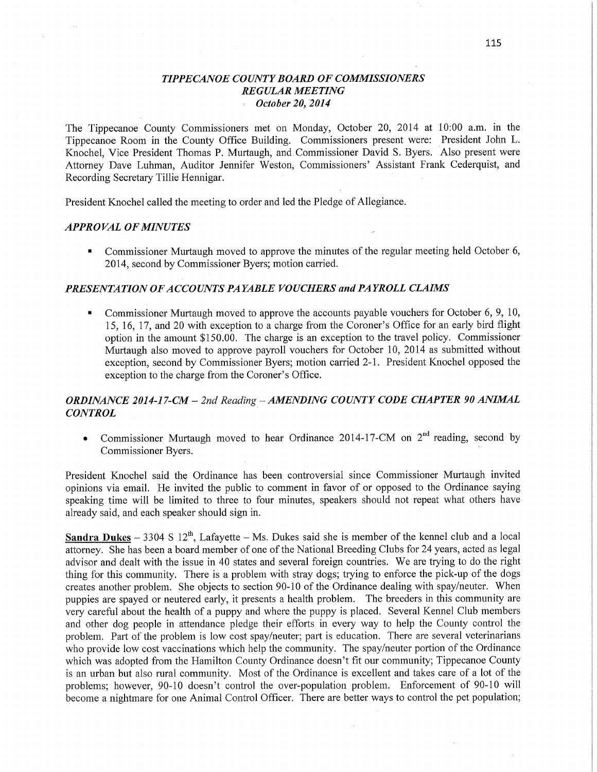### *TIPPECANOE* CO *UNTY BOARD* OF *COWISSIONERS REGULAR MEETING October* 20, *2014*

The Tippecanoe County Commissioners met on Monday, October 20, 2014 at 10:00 am. in the Tippecanoe Room in the County Office Building. Commissioners present were: President John L. Knochel, **Vice** President Thomas P. Murtaugh, and Commissioner David S. Byers. Also present were Attorney Dave Luhman, Auditor Jennifer Weston, Commissioners' Assistant Frank Cederquist, and Recording Secretary Tillie Hennigar. *-* 

President Knochel called the meeting to order and led the Pledge of Allegiance.

#### *APPROVAL* OF *MINUTES ,*

**I** Commissioner Murtaugh moved to approve the **minutes** of the regular meeting **held** October 6, 2014, second by Commissioner Byers; motion carried.

#### *PRESENTATION* OF *ACCO* UN *T S* PA *YABLE VOUCHERS* and PA YR OLL *CLAIMS*

**I** Commissioner Murtaugh moved to approve the accounts payable vouchers for October 6, 9, 10, 15, 16, 17, and 20 with exception to a charge from the Coroner's Office for an early bird **flight**  option in the amount \$150.00. The charge is an exception to the travel policy. Commissioner Murtaugh also moved to approve payroll vouchers for October 10, 2014 as submitted without exception, second by Commissioner Byers; motion carried 2—1. President Knochel opposed the exception to the charge from the Coroner's Office.

## *ORDINANCE 2014-17-CM* **—** 2nd Readingw *AMENDING COUNTY CODE CHAPTER* 90 *ANIMiL CONTROL*

• Commissioner Murtaugh moved to hear Ordinance 2014-17-CM on 2<sup>nd</sup> reading, second by Commissioner Byers

President Knochel said the Ordinance has been controversial since Commissioner Murtaugh invited opinions via **email.** He invited the public to comment in favor of or opposed to the Ordinance saying **speaking** time will be limited to three to four **minutes,** speakers should not repeat what others have already said, and each speaker should sign in.

**Sandra Dukes** – 3304 S 12<sup>th</sup>, Lafayette – Ms. Dukes said she is member of the kennel club and a local attorney. She has been a board member of one of the National Breeding Clubs for 24 years, acted as legal advisor and dealt with the issue in 40 states and several foreign countries. We are trying to do the right thing for this community. There is a problem with stray dogs; trying to enforce the pick-up of the dogs creates another problem. She objects to section 90-10 of the Ordinance dealing with spay/neuter. When puppies are spayed or neutered early, it presents a health problem. The breeders in this community are very careful about the health of a puppy and where the puppy is placed. Several Kennel Club members and other dog people in attendance pledge their efforts in every way to help the County control the problem. Part of the problem is low cost spay/neuter; part is education. There are several veterinarians who provide low cost vaccinations which help the community. The spay/neuter portion of the Ordinance which was adopted from the Hamilton County Ordinance doesn't fit our community; Tippecanoe County is an urban but also rural community. Most of the Ordinance is excellent and takes care of a lot of the problems; however, 90-10 doesn't control the over-population problem. Enforcement of 90-10 will become a nightmare for one **Animal** Control Officer. There are better ways to control the pet population;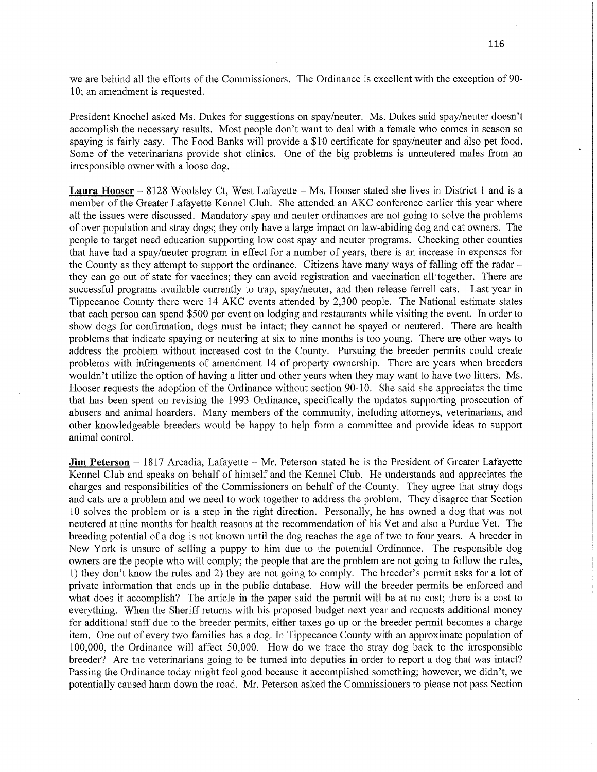we are behind all the efforts of the Commissioners. The Ordinance is excellent with the exception of 90- 10; an amendment is requested.

President Knochel asked Ms. Dukes for suggestions on spay/neuter. Ms. Dukes said spay/neuter doesn't accomplish the necessary results. Most people don't want to deal with a'femalé who comes in season so spaying is fairly easy. The Food Banks will provide a \$10 certificate for spay/neuter and also pet **food.**  Some of the veterinarians provide shot clinics. One of the big problems is unneutered males from an irresponsible owner with a loose dog.

Laura **Hooser** *—* 8128 Woolsley Ct, West Lafayette **—** Ms. Hooser stated she lives in District 1 and is <sup>a</sup> member of the Greater Lafayette Kennel Club. She attended an AKC conference earlier this year where all the issues were discussed. Mandatory spay and neuter ordinances are not going to solve the problems of over population and stray dogs; they only have a large impact on law-abiding dog and cat owners. The people to target need education supporting low cost spay and neuter programs. Checking other counties that have had a spay/neuter program in effect for a number of years, there is an increase in expenses for the County as they attempt to support the ordinance. Citizens have many ways of falling off the radar they can go out of state for vaccines; they can avoid registration and vaccination all'together. There are successful programs available currently to trap, spay/neuter, and then release ferrell cats. Last year in Tippecanoe County there were 14 AKC events attended by 2,300 people. The National estimate states that each person can spend \$500 per event on lodging and restaurants while visiting the event. In order to show dogs for confirmation, dogs must be intact; they cannot be spayed or neutered. There are health problems that indicate spaying or neutering at six to nine months is too young. There are other ways to address the problem without increased cost to the County. Pursuing the breeder permits could create problems with infringements of amendment 14 of property ownership. There are years when breeders wouldn't utilize the option of having a litter and other years when they may want to have two litters. Ms. Hooser requests the adoption of the Ordinance without section 90-10. She said she appreciates the time that has been spent on revising the 1993 Ordinance, specifically the updates supporting prosecution of abusers and animal hoarders. Many members of the community, including attorneys, veterinarians, and other knowledgeable breeders would be happy to help form a committee and provide ideas to suppor<sup>t</sup> animal control.

Jim **Peterson** —— 1817 Arcadia, Lafayette **—** Mr. Peterson stated he is the President of Greater Lafayette Kennel Club and speaks on behalf of himself and the Kennel Club. He understands and appreciates the charges and responsibilities of the Commissioners on behalf of the County. They agree that stray dogs and cats are <sup>a</sup>problem and we need to work together to address the problem. They disagree that Section 10 solves the problem or is a step in the right direction. Personally, he has owned a dog that was not neutered at nine months for health reasons at the recommendation of his Vet and also **a** Purdue Vet. The breeding potential of a dog is not known until the dog reaches the age of two to four years. A breeder in New York is unsure of selling a puppy to him due to the potential Ordinance. The responsible dog owners are the people who will comply; the people that are the problem are not going to follow the rules, 1) they don't know the rules and 2) they are not going to comply. The breeder's permit asks for a lot of private information that ends up in the public database. How will the breeder permits be enforced and what does it accomplish? The article in the paper said the permit will be at no cost; there is a cost to everything. When the Sheriff returns with his proposed budget next year and requests additional money for additional staff due to the breeder permits, either taxes go up or the breeder permit becomes a charge item. One out of every two families has a dog. In Tippecanoe County with an approximate population of 100,000, the Ordinance will affect 50,000. How do we trace the stray dog back to the irresponsible breeder? Are the veterinarians going to be turned into deputies in order to report a dog that was intact? Passing the Ordinance today might feel good because it accomplished something; however, we didn't, we potentially caused harm down the road. Mr. Peterson asked the Commissioners to please not pass Section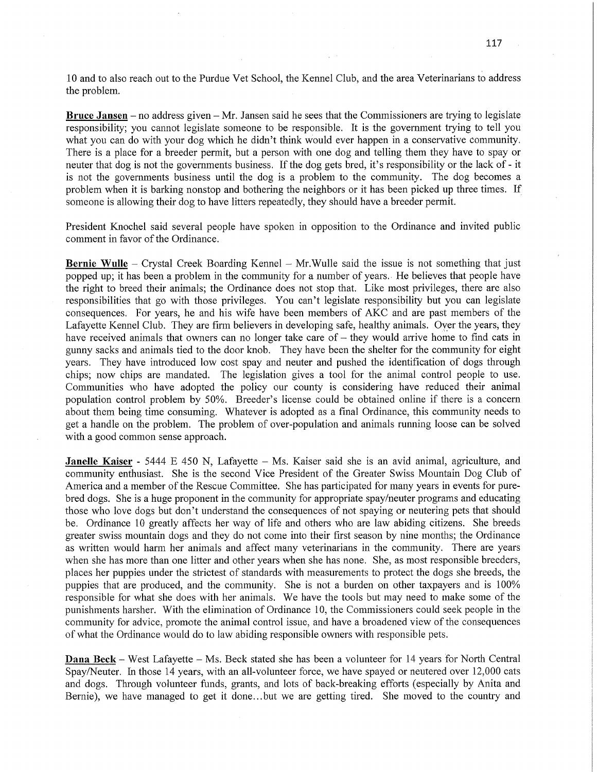10 and to also reach out to the Purdue Vet School, the Kennel Club, and the area Veterinarians to address the problem.

**Bruce Jansen <sup>m</sup>**no address given *—* Mr. Jansen said he sees that the Commissioners are trying to legislate responsibility; you cannot legislate someone to be responsible. It is the government trying to tell you What you can do with your dog which he didn't think Would ever happen in a conservative community. There is a place for a breeder permit, but a person with one dog and telling them they have to spay or neuter that dog is not the govérnments business. If the dog gets bred, it's responsibility or the lack of **-** it is not the governments business until the dog is a problem to the community. The dog becomes <sup>a</sup> problem when it is barking nonstop and bothering the neighbors or it has been picked up three times. If someone is allowing their dog to have litters repeatedly, they should have a breeder permit.

President Knochel said several people have spoken in opposition to the Ordinance and invited public comment in favor of the Ordinance.

Bernie Wulle *—* Crystal Creek Boarding Kennel **—** Mr.Wulle said the issue is not something that just popped up; it has been a problem in the community for a number of years. He believes that people have the right to breed their animals; the Ordinance does not stop **that.** Like most privileges, there are also responsibilities that go with those privileges. You can't legislate responsibility but you can legislate consequences. For years, he and his Wife have been members of AKC and are past members of the Lafayette Kennel Club. They are firm believers in developing safe, healthy animals. Over the years, they have received animals that owners can no longer take care of *—* they would arrive home to find cats in gunny sacks and animals tied to the door knob. They have been the shelter for the community for eight years. They have introduced low cost spay and neuter and pushed the identification of dogs through chips; now chips are mandated. The legislation gives a tool for the animal control people to use. Communities who have adopted the policy our county is considering have reduced their animal population control problem by 50%. Breeder's license could be obtained online if there is a concern about them being time consuming. Whatever is adopted as <sup>a</sup>final Ordinance, this community needs to get a handle on the problem. The problem of over-population and animals running loose can be solved with a good common sense approach.

Janelle **Kaiser** *-* 5444 E 450 N, Lafayette — Ms. Kaiser said she is an avid **animal,** agriculture, and community enthusiast. She is the second Vice President of the Greater Swiss Mountain Dog Club of America and a member of the Rescue Committee. She has participated for many years in events for purebred dogs. She is a huge proponent in the community for appropriate spay/neuter programs and educating those who love dogs but don't understand the consequences of not spaying or neutering pets that should be. Ordinance 10 greatly affects her way of life and others who are law abiding citizens. She breeds greater swiss mountain dogs and they do not come into their first season by **nine** months; the Ordinance as written would harm her animals and affect many veterinarians in the community. There are years when she has more than one litter and other years when she has none. She, as most responsible breeders, places her puppies under the strictest of standards with measurements to protect the dogs she breeds, the puppies that are produced, and the community. She is not a burden on other taxpayers and is 100% responsible for what she does with her animals. We have the tools but may need to make some of the punishments harsher. With the elimination of Ordinance 10, the Commissioners could seek people in the community for advice, promote the animal control issue, and have a broadened **View** of the consequences of what the Ordinance would do to law abiding responsible owners with responsible pets.

**Dana Beck** *—* West Lafayette — Ms. Beck stated she has been a volunteer for 14 years for North Central Spay/Neuter. In those 14 years, with an all-volunteer force, we have spayed or neutered over 12,000 cats and dogs. Through volunteer funds, grants, and lots of back-breaking efforts (especially by Anita and Bernie), we have managed to get it done...but we are getting tired. She moved to the country and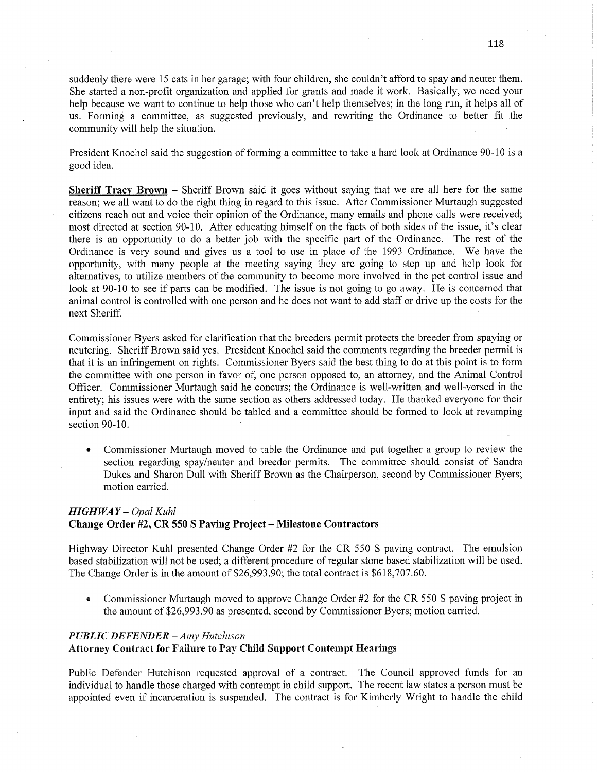suddenly there were 15 cats in her garage; with four children, she couldn't afford to spay and neuter them. She started a non-profit organization and applied for grants and made it work. Basically, we need your help because we want to continue to help those Who can't help themselves; in the long run, it helps all of us. Forming **a** committee, as suggested previously, and rewriting the Ordinance to better fit 'the community will help the situation.

President Knochel said the suggestion of forming a committee to take a hard look at Ordinance 90-10 is <sup>a</sup> good idea.

**Sheriff Tracy Brown** – Sheriff Brown said it goes without saying that we are all here for the same reason; we all want to do the right thing in regard to this issue. After Commissioner Murtaugh suggested citizens reach out and voice their opinion of the Ordinance, many emails and phone calls were received; most directed at section 90-10. After educating himself on the facts of both sides of the issue, it's clear there is an opportunity to do a better job with the specific part of the Ordinance. The rest of the Ordinance is very sound and gives us <sup>a</sup>tool to use in place of the 1993 Ordinance. We have the opportunity, with many péople at the meeting saying they are going to step up and help look for alternatives, to utilize members of the community to become more involved in the pet control issue and look at 90-10 to see if parts can be modified. The issue is not going to go away. He is concerned that animal control is controlled with one person and he does not want to add staff or drive up the costs for the next Sheriff.

Commissioner Byers asked for clarification that the breeders permit protects the breeder from spaying or neutering. Sheriff Brown said yes. President Knochel said the comments regarding the breeder permit is that it is an infringement on rights. Commissioner Byers said the best thing to do at this point is to form the committee with one person in favor of, one person opposed to, an attorney, and the **Animal** Control Officer. Commissioner Murtaugh said he concurs; the Ordinance is well-written and well-versed in the entirety; his issues were with the same section as others addressed today. He thanked everyone for their input and said the Ordinance should be tabled and a committee should be formed to look at revamping section 90-10. *'* 

• Commissioner Murtaugh moved to table the Ordinance and put together a group to review the section regarding spay/neuter and breeder permits. The committee should consist of Sandra Dukes and Sharon Dull with Sheriff Brown as the Chairperson, second by Commissioner Byers; motion carried.

# *HIGHWAY* — *Opal Kuhl*  **Change** Order #2, CR 550 **S Paving Project** *—* **Milestone Contractors**

Highway Director Kuhl presented Change Order #2 for the CR 550 **S** paving contract. The emulsion based stabilization will not be used; **a** different procedure of regular stone based stabilization will be **used.**  The Change Order is in the amount of \$26,993.90; the total contract is \$618,707.60.

**0** Commissioner Murtaugh moved to approve Change Order #2 for the CR 550 S paving project in the amount of \$26,993.90 as presented, second by Commissioner Byers; motion carried.

#### *PUBLIC DEFENDER* — Amy *Hutchison*

# **Attorney Contract** for **Failure** to Bay Child **Support** Contempt **Hearings**

Public Defender Hutchison requested approval of a contract. The Council approved funds for an individual to handle those charged with contempt in child support. The recent law states a person must be appointed even if incarceration is suspended. The contract is for Kimberly Wright to handle the child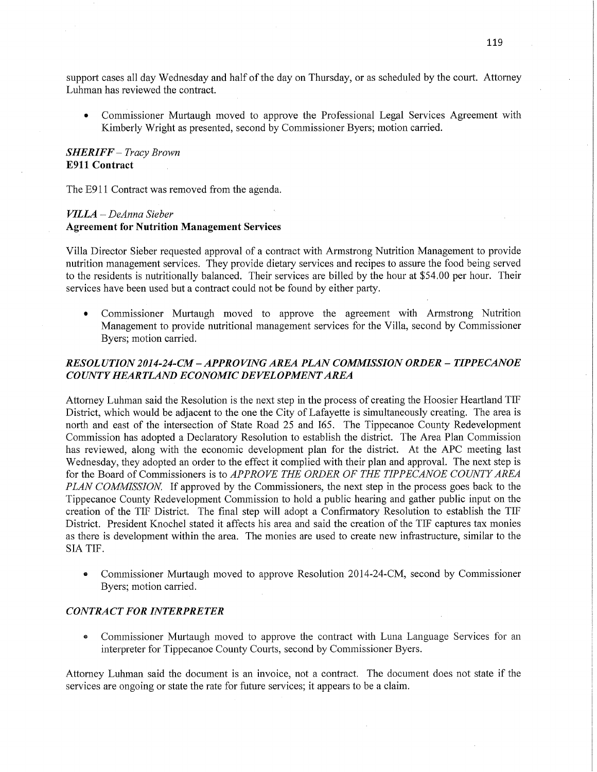support cases all day Wednesday and half of the day on Thursday, or as scheduled by the court. Attorney Luhman has reviewed the contract.

**0** Commissioner Murtaugh moved to approve the Professional Legal Services Agreement with Kimberly Wright as presented, second by Commissioner Byers; motion carried.

#### *SHERIFF — Tracy Brown*  **E911 Contract**

The E911 Contract was removed from the agenda.

## *VILLA — DeAnna Sieber*  **Agreement** for **Nutrition Management Services**

Villa Director Sieber requested approval of a contract with Armstrong Nutrition Management to provide nutrition management services. They provide dietary services and recipes to assure the food being served to the residents is nutritionally balanced. Their services are billed by the hour at \$54.00 per hour. Their services have been used but a contract could not be found by either party.

**0** Commissioner Murtaugh moved to approve the agreement with Armstrong Nutrition Management to provide nutritional management services for the Villa, second by Commissioner Byers; motion carried.

### *RESOLUTION 2014-24-CM — APPROVING AREA PLAN COMMISSION ORDER* **—** *TIPPE CANOE C 0* UN *T Y HEAR TLAND ECONOMIC* DE VEL *0PMEN T AREA*

Attorney Luhman said the Resolution is the next step in the process of creating the Hoosier Heartland TIF District, which would be adjacent to the one the City of Lafayette is simultaneously creating. The area is north and east of the intersection of State Road 25 and 165. The Tippecanoe County Redevelopment Commission has adopted a Declaratory Resolution to establish the district. The Area Plan Commission has reviewed, along with the economic development plan for the district. At the APC meeting last Wednesday, they adopted an order to the effect it complied with their plan and approval. The next step is for the Board of Commissioners is to *APPROVE* THE *ORDER* OF THE *TIPPECANOE COUNTY AREA PLAN COMMISSION.* If approved by the Commissioners, the next step in the process goes back to the Tippecanoe County Redevelopment Commission to hold **a** public hearing and gather public input on the creation of the TIF District. The final step will adopt a Confirmatory Resolution to establish the TIF District. President Knochel stated it affects his area and said the creation of the TIF captures tax monies as there is development within the area. The monies are used to create new infrastructure, similar to the SIA TIF.

**0** Commissioner Murtaugh moved to approve Resolution 2014-24-CM, second by Commissioner Byers; motion carried.

### *CONTRACTFOR INTERPRETER*

• Commissioner Murtaugh moved to approve the contract with Luna Language Services for an interpreter for Tippecanoe County Courts, second by Commissioner Byers.

Attorney Luhman said the document is an invoice, not a contract. The document does not state if the services are ongoing or state the rate for future services; it appears to be a claim.